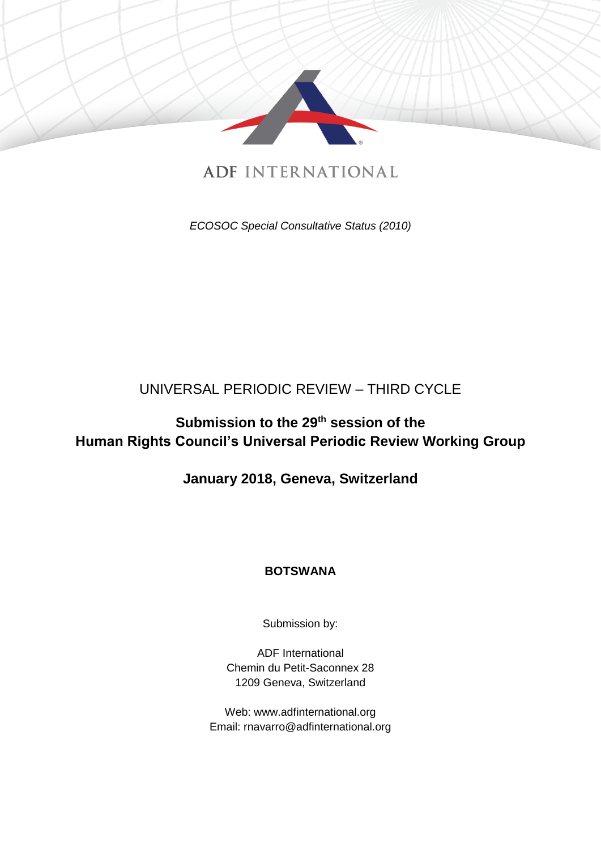

# **ADF INTERNATIONAL**

*ECOSOC Special Consultative Status (2010)*

## UNIVERSAL PERIODIC REVIEW – THIRD CYCLE

# **Submission to the 29th session of the Human Rights Council's Universal Periodic Review Working Group**

## **January 2018, Geneva, Switzerland**

### **BOTSWANA**

Submission by:

ADF International Chemin du Petit-Saconnex 28 1209 Geneva, Switzerland

Web: www.adfinternational.org Email: rnavarro@adfinternational.org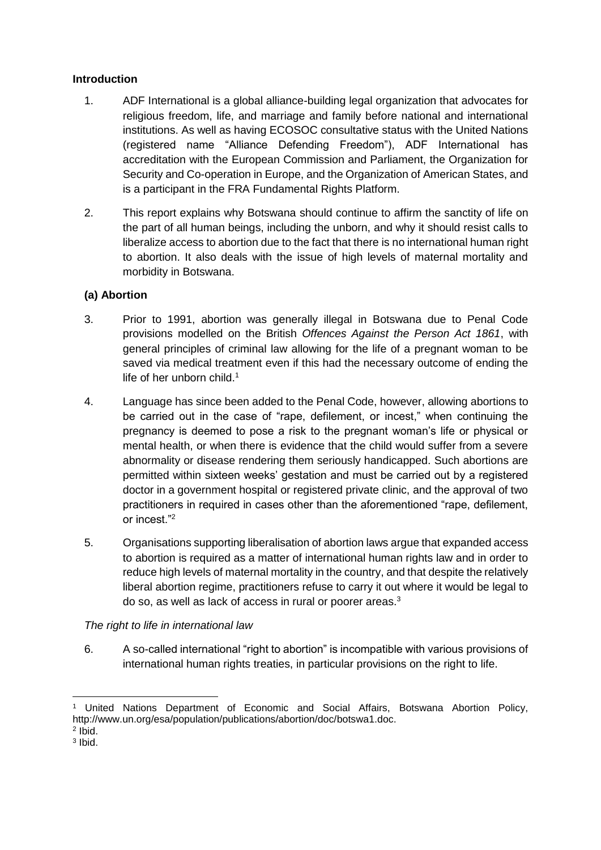#### **Introduction**

- 1. ADF International is a global alliance-building legal organization that advocates for religious freedom, life, and marriage and family before national and international institutions. As well as having ECOSOC consultative status with the United Nations (registered name "Alliance Defending Freedom"), ADF International has accreditation with the European Commission and Parliament, the Organization for Security and Co-operation in Europe, and the Organization of American States, and is a participant in the FRA Fundamental Rights Platform.
- 2. This report explains why Botswana should continue to affirm the sanctity of life on the part of all human beings, including the unborn, and why it should resist calls to liberalize access to abortion due to the fact that there is no international human right to abortion. It also deals with the issue of high levels of maternal mortality and morbidity in Botswana.

#### **(a) Abortion**

- 3. Prior to 1991, abortion was generally illegal in Botswana due to Penal Code provisions modelled on the British *Offences Against the Person Act 1861*, with general principles of criminal law allowing for the life of a pregnant woman to be saved via medical treatment even if this had the necessary outcome of ending the life of her unborn child.<sup>1</sup>
- 4. Language has since been added to the Penal Code, however, allowing abortions to be carried out in the case of "rape, defilement, or incest," when continuing the pregnancy is deemed to pose a risk to the pregnant woman's life or physical or mental health, or when there is evidence that the child would suffer from a severe abnormality or disease rendering them seriously handicapped. Such abortions are permitted within sixteen weeks' gestation and must be carried out by a registered doctor in a government hospital or registered private clinic, and the approval of two practitioners in required in cases other than the aforementioned "rape, defilement, or incest<sup>"2</sup>
- 5. Organisations supporting liberalisation of abortion laws argue that expanded access to abortion is required as a matter of international human rights law and in order to reduce high levels of maternal mortality in the country, and that despite the relatively liberal abortion regime, practitioners refuse to carry it out where it would be legal to do so, as well as lack of access in rural or poorer areas.<sup>3</sup>

#### *The right to life in international law*

6. A so-called international "right to abortion" is incompatible with various provisions of international human rights treaties, in particular provisions on the right to life.

-

<sup>1</sup> United Nations Department of Economic and Social Affairs, Botswana Abortion Policy, http://www.un.org/esa/population/publications/abortion/doc/botswa1.doc.

<sup>2</sup> Ibid.

<sup>3</sup> Ibid.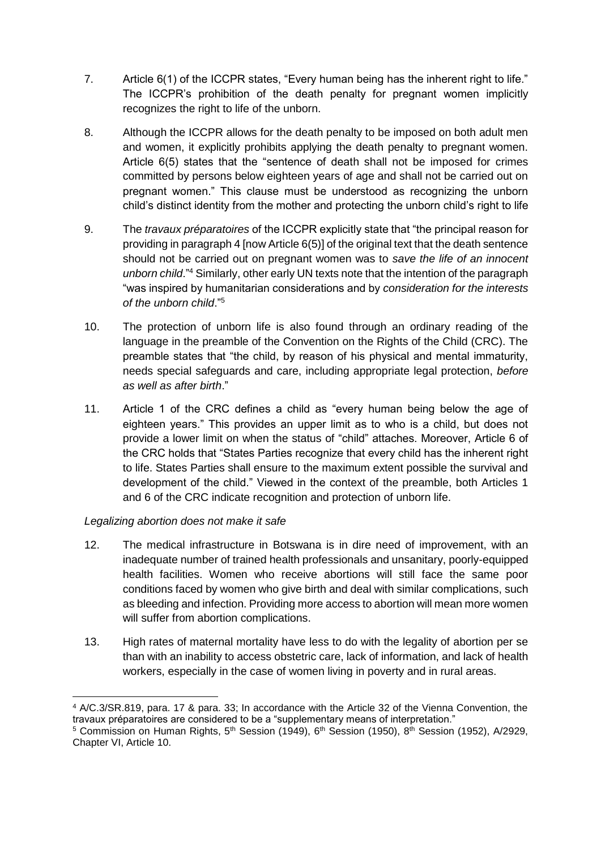- 7. Article 6(1) of the ICCPR states, "Every human being has the inherent right to life." The ICCPR's prohibition of the death penalty for pregnant women implicitly recognizes the right to life of the unborn.
- 8. Although the ICCPR allows for the death penalty to be imposed on both adult men and women, it explicitly prohibits applying the death penalty to pregnant women. Article 6(5) states that the "sentence of death shall not be imposed for crimes committed by persons below eighteen years of age and shall not be carried out on pregnant women." This clause must be understood as recognizing the unborn child's distinct identity from the mother and protecting the unborn child's right to life
- 9. The *travaux préparatoires* of the ICCPR explicitly state that "the principal reason for providing in paragraph 4 [now Article 6(5)] of the original text that the death sentence should not be carried out on pregnant women was to *save the life of an innocent unborn child*."<sup>4</sup> Similarly, other early UN texts note that the intention of the paragraph "was inspired by humanitarian considerations and by *consideration for the interests of the unborn child*."<sup>5</sup>
- 10. The protection of unborn life is also found through an ordinary reading of the language in the preamble of the Convention on the Rights of the Child (CRC). The preamble states that "the child, by reason of his physical and mental immaturity, needs special safeguards and care, including appropriate legal protection, *before as well as after birth*."
- 11. Article 1 of the CRC defines a child as "every human being below the age of eighteen years." This provides an upper limit as to who is a child, but does not provide a lower limit on when the status of "child" attaches. Moreover, Article 6 of the CRC holds that "States Parties recognize that every child has the inherent right to life. States Parties shall ensure to the maximum extent possible the survival and development of the child." Viewed in the context of the preamble, both Articles 1 and 6 of the CRC indicate recognition and protection of unborn life.

#### *Legalizing abortion does not make it safe*

- 12. The medical infrastructure in Botswana is in dire need of improvement, with an inadequate number of trained health professionals and unsanitary, poorly-equipped health facilities. Women who receive abortions will still face the same poor conditions faced by women who give birth and deal with similar complications, such as bleeding and infection. Providing more access to abortion will mean more women will suffer from abortion complications.
- 13. High rates of maternal mortality have less to do with the legality of abortion per se than with an inability to access obstetric care, lack of information, and lack of health workers, especially in the case of women living in poverty and in rural areas.

<sup>-</sup><sup>4</sup> A/C.3/SR.819, para. 17 & para. 33; In accordance with the Article 32 of the Vienna Convention, the travaux préparatoires are considered to be a "supplementary means of interpretation."

<sup>&</sup>lt;sup>5</sup> Commission on Human Rights, 5<sup>th</sup> Session (1949), 6<sup>th</sup> Session (1950), 8<sup>th</sup> Session (1952), A/2929, Chapter VI, Article 10.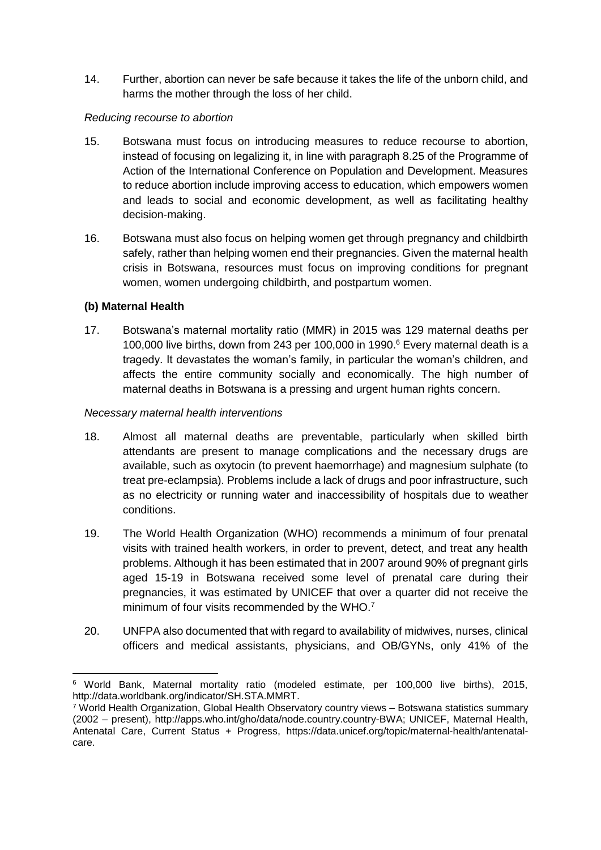14. Further, abortion can never be safe because it takes the life of the unborn child, and harms the mother through the loss of her child.

#### *Reducing recourse to abortion*

- 15. Botswana must focus on introducing measures to reduce recourse to abortion, instead of focusing on legalizing it, in line with paragraph 8.25 of the Programme of Action of the International Conference on Population and Development. Measures to reduce abortion include improving access to education, which empowers women and leads to social and economic development, as well as facilitating healthy decision-making.
- 16. Botswana must also focus on helping women get through pregnancy and childbirth safely, rather than helping women end their pregnancies. Given the maternal health crisis in Botswana, resources must focus on improving conditions for pregnant women, women undergoing childbirth, and postpartum women.

#### **(b) Maternal Health**

-

17. Botswana's maternal mortality ratio (MMR) in 2015 was 129 maternal deaths per 100,000 live births, down from 243 per 100,000 in 1990.<sup>6</sup> Every maternal death is a tragedy. It devastates the woman's family, in particular the woman's children, and affects the entire community socially and economically. The high number of maternal deaths in Botswana is a pressing and urgent human rights concern.

#### *Necessary maternal health interventions*

- 18. Almost all maternal deaths are preventable, particularly when skilled birth attendants are present to manage complications and the necessary drugs are available, such as oxytocin (to prevent haemorrhage) and magnesium sulphate (to treat pre-eclampsia). Problems include a lack of drugs and poor infrastructure, such as no electricity or running water and inaccessibility of hospitals due to weather conditions.
- 19. The World Health Organization (WHO) recommends a minimum of four prenatal visits with trained health workers, in order to prevent, detect, and treat any health problems. Although it has been estimated that in 2007 around 90% of pregnant girls aged 15-19 in Botswana received some level of prenatal care during their pregnancies, it was estimated by UNICEF that over a quarter did not receive the minimum of four visits recommended by the WHO.<sup>7</sup>
- 20. UNFPA also documented that with regard to availability of midwives, nurses, clinical officers and medical assistants, physicians, and OB/GYNs, only 41% of the

<sup>6</sup> World Bank, Maternal mortality ratio (modeled estimate, per 100,000 live births), 2015, http://data.worldbank.org/indicator/SH.STA.MMRT.

<sup>7</sup> World Health Organization, Global Health Observatory country views – Botswana statistics summary (2002 – present), http://apps.who.int/gho/data/node.country.country-BWA; UNICEF, Maternal Health, Antenatal Care, Current Status + Progress, https://data.unicef.org/topic/maternal-health/antenatalcare.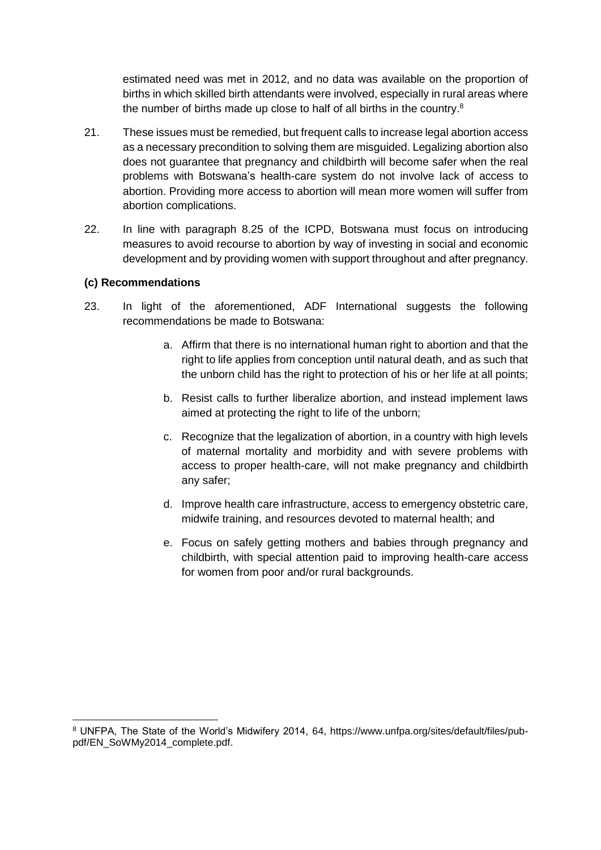estimated need was met in 2012, and no data was available on the proportion of births in which skilled birth attendants were involved, especially in rural areas where the number of births made up close to half of all births in the country.<sup>8</sup>

- 21. These issues must be remedied, but frequent calls to increase legal abortion access as a necessary precondition to solving them are misguided. Legalizing abortion also does not guarantee that pregnancy and childbirth will become safer when the real problems with Botswana's health-care system do not involve lack of access to abortion. Providing more access to abortion will mean more women will suffer from abortion complications.
- 22. In line with paragraph 8.25 of the ICPD, Botswana must focus on introducing measures to avoid recourse to abortion by way of investing in social and economic development and by providing women with support throughout and after pregnancy.

#### **(c) Recommendations**

-

- 23. In light of the aforementioned, ADF International suggests the following recommendations be made to Botswana:
	- a. Affirm that there is no international human right to abortion and that the right to life applies from conception until natural death, and as such that the unborn child has the right to protection of his or her life at all points;
	- b. Resist calls to further liberalize abortion, and instead implement laws aimed at protecting the right to life of the unborn;
	- c. Recognize that the legalization of abortion, in a country with high levels of maternal mortality and morbidity and with severe problems with access to proper health-care, will not make pregnancy and childbirth any safer;
	- d. Improve health care infrastructure, access to emergency obstetric care, midwife training, and resources devoted to maternal health; and
	- e. Focus on safely getting mothers and babies through pregnancy and childbirth, with special attention paid to improving health-care access for women from poor and/or rural backgrounds.

<sup>8</sup> UNFPA, The State of the World's Midwifery 2014, 64, https://www.unfpa.org/sites/default/files/pubpdf/EN\_SoWMy2014\_complete.pdf.